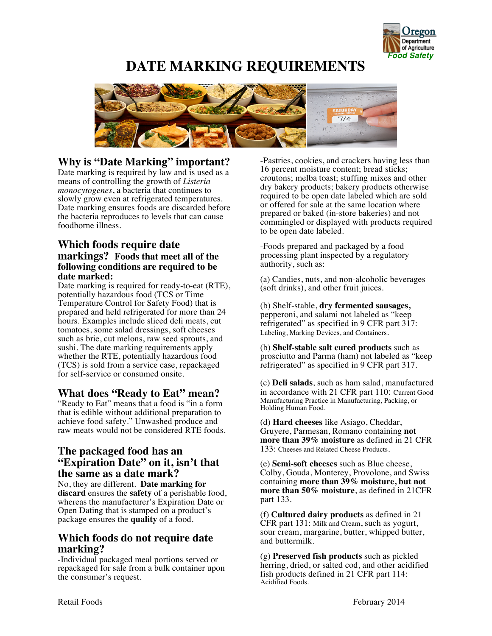

# **1** *Pood Safety*<br>*Food Safety* **DATE MARKING REQUIREMENTS**



## **Why is "Date Marking" important?**

Date marking is required by law and is used as a means of controlling the growth of *Listeria monocytogenes*, a bacteria that continues to slowly grow even at refrigerated temperatures. Date marking ensures foods are discarded before the bacteria reproduces to levels that can cause foodborne illness.

#### **Which foods require date markings? Foods that meet all of the following conditions are required to be date marked:**

Date marking is required for ready-to-eat (RTE), potentially hazardous food (TCS or Time Temperature Control for Safety Food) that is prepared and held refrigerated for more than 24 hours. Examples include sliced deli meats, cut tomatoes, some salad dressings, soft cheeses such as brie, cut melons, raw seed sprouts, and sushi. The date marking requirements apply whether the RTE, potentially hazardous food (TCS) is sold from a service case, repackaged for self-service or consumed onsite.

### **What does "Ready to Eat" mean?**

"Ready to Eat" means that a food is "in a form that is edible without additional preparation to achieve food safety." Unwashed produce and raw meats would not be considered RTE foods.

#### **The packaged food has an "Expiration Date" on it, isn't that the same as a date mark?**

No, they are different. **Date marking for discard** ensures the **safety** of a perishable food, whereas the manufacturer's Expiration Date or Open Dating that is stamped on a product's package ensures the **quality** of a food.

### **Which foods do not require date marking?**

-Individual packaged meal portions served or repackaged for sale from a bulk container upon the consumer's request.

-Pastries, cookies, and crackers having less than 16 percent moisture content; bread sticks; croutons; melba toast; stuffing mixes and other dry bakery products; bakery products otherwise required to be open date labeled which are sold or offered for sale at the same location where prepared or baked (in-store bakeries) and not commingled or displayed with products required to be open date labeled.

-Foods prepared and packaged by a food processing plant inspected by a regulatory authority, such as:

(a) Candies, nuts, and non-alcoholic beverages (soft drinks), and other fruit juices.

(b) Shelf-stable, **dry fermented sausages,** pepperoni, and salami not labeled as "keep refrigerated" as specified in 9 CFR part 317: Labeling, Marking Devices, and Containers.

(b) **Shelf-stable salt cured products** such as prosciutto and Parma (ham) not labeled as "keep refrigerated" as specified in 9 CFR part 317.

(c) **Deli salads**, such as ham salad, manufactured in accordance with 21 CFR part 110: Current Good Manufacturing Practice in Manufacturing, Packing, or Holding Human Food.

(d) **Hard cheeses** like Asiago, Cheddar, Gruyere, Parmesan, Romano containing **not more than 39% moisture** as defined in 21 CFR 133: Cheeses and Related Cheese Products.

(e) **Semi-soft cheeses** such as Blue cheese, Colby, Gouda, Monterey, Provolone, and Swiss containing **more than 39% moisture, but not more than 50% moisture**, as defined in 21CFR part 133.

(f) **Cultured dairy products** as defined in 21 CFR part 131: Milk and Cream, such as yogurt, sour cream, margarine, butter, whipped butter, and buttermilk.

(g) **Preserved fish products** such as pickled herring, dried, or salted cod, and other acidified fish products defined in 21 CFR part 114: Acidified Foods.